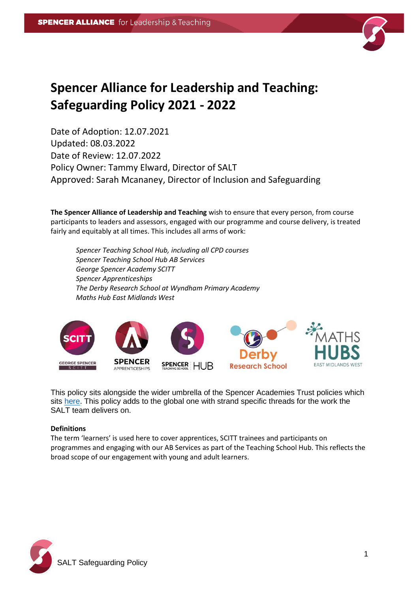

# **Spencer Alliance for Leadership and Teaching: Safeguarding Policy 2021 - 2022**

Date of Adoption: 12.07.2021 Updated: 08.03.2022 Date of Review: 12.07.2022 Policy Owner: Tammy Elward, Director of SALT Approved: Sarah Mcananey, Director of Inclusion and Safeguarding

**The Spencer Alliance of Leadership and Teaching** wish to ensure that every person, from course participants to leaders and assessors, engaged with our programme and course delivery, is treated fairly and equitably at all times. This includes all arms of work:

*Spencer Teaching School Hub, including all CPD courses Spencer Teaching School Hub AB Services George Spencer Academy SCITT Spencer Apprenticeships The Derby Research School at Wyndham Primary Academy Maths Hub East Midlands West*



This policy sits alongside the wider umbrella of the Spencer Academies Trust policies which sits [here.](http://satrust.com/policies/) This policy adds to the global one with strand specific threads for the work the SALT team delivers on.

### **Definitions**

The term 'learners' is used here to cover apprentices, SCITT trainees and participants on programmes and engaging with our AB Services as part of the Teaching School Hub. This reflects the broad scope of our engagement with young and adult learners.

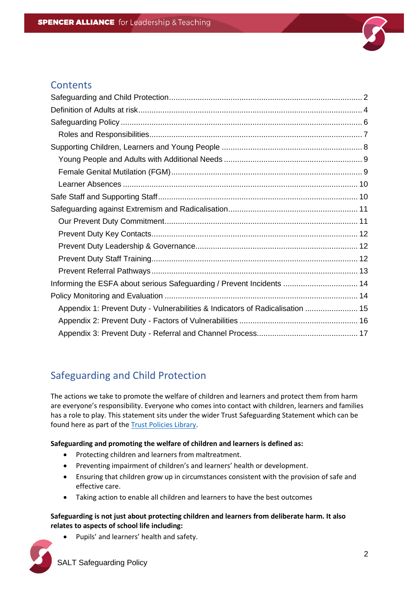

### **Contents**

| Informing the ESFA about serious Safeguarding / Prevent Incidents  14         |  |
|-------------------------------------------------------------------------------|--|
|                                                                               |  |
| Appendix 1: Prevent Duty - Vulnerabilities & Indicators of Radicalisation  15 |  |
|                                                                               |  |
|                                                                               |  |

# <span id="page-1-0"></span>Safeguarding and Child Protection

The actions we take to promote the welfare of children and learners and protect them from harm are everyone's responsibility. Everyone who comes into contact with children, learners and families has a role to play. This statement sits under the wider Trust Safeguarding Statement which can be found here as part of the [Trust Policies Library.](http://satrust.com/policies/)

### **Safeguarding and promoting the welfare of children and learners is defined as:**

- Protecting children and learners from maltreatment.
- Preventing impairment of children's and learners' health or development.
- Ensuring that children grow up in circumstances consistent with the provision of safe and effective care.
- Taking action to enable all children and learners to have the best outcomes

### **Safeguarding is not just about protecting children and learners from deliberate harm. It also relates to aspects of school life including:**

Pupils' and learners' health and safety.

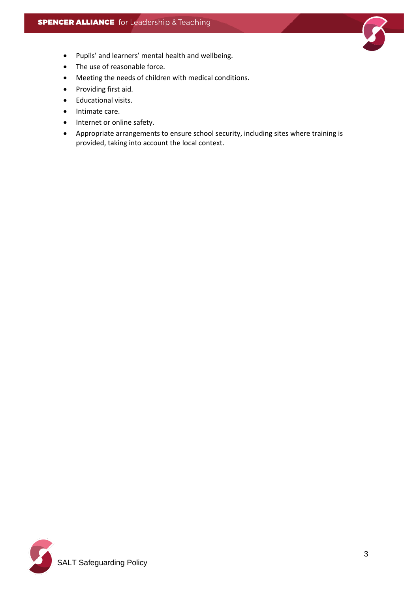

- Pupils' and learners' mental health and wellbeing.
- The use of reasonable force.
- Meeting the needs of children with medical conditions.
- Providing first aid.
- Educational visits.
- Intimate care.
- Internet or online safety.
- Appropriate arrangements to ensure school security, including sites where training is provided, taking into account the local context.

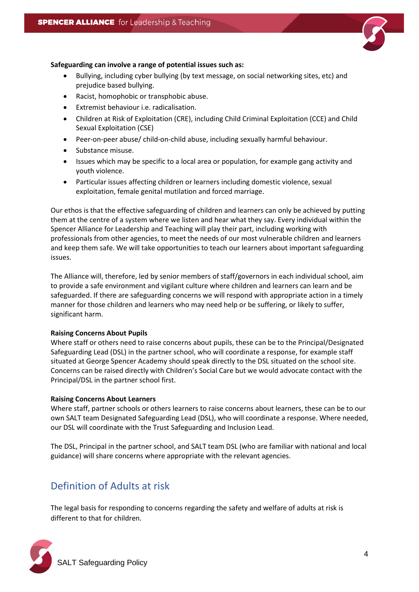

#### **Safeguarding can involve a range of potential issues such as:**

- Bullying, including cyber bullying (by text message, on social networking sites, etc) and prejudice based bullying.
- Racist, homophobic or transphobic abuse.
- Extremist behaviour i.e. radicalisation.
- Children at Risk of Exploitation (CRE), including Child Criminal Exploitation (CCE) and Child Sexual Exploitation (CSE)
- Peer-on-peer abuse/ child-on-child abuse, including sexually harmful behaviour.
- Substance misuse.
- Issues which may be specific to a local area or population, for example gang activity and youth violence.
- Particular issues affecting children or learners including domestic violence, sexual exploitation, female genital mutilation and forced marriage.

Our ethos is that the effective safeguarding of children and learners can only be achieved by putting them at the centre of a system where we listen and hear what they say. Every individual within the Spencer Alliance for Leadership and Teaching will play their part, including working with professionals from other agencies, to meet the needs of our most vulnerable children and learners and keep them safe. We will take opportunities to teach our learners about important safeguarding issues.

The Alliance will, therefore, led by senior members of staff/governors in each individual school, aim to provide a safe environment and vigilant culture where children and learners can learn and be safeguarded. If there are safeguarding concerns we will respond with appropriate action in a timely manner for those children and learners who may need help or be suffering, or likely to suffer, significant harm.

#### **Raising Concerns About Pupils**

Where staff or others need to raise concerns about pupils, these can be to the Principal/Designated Safeguarding Lead (DSL) in the partner school, who will coordinate a response, for example staff situated at George Spencer Academy should speak directly to the DSL situated on the school site. Concerns can be raised directly with Children's Social Care but we would advocate contact with the Principal/DSL in the partner school first.

#### **Raising Concerns About Learners**

Where staff, partner schools or others learners to raise concerns about learners, these can be to our own SALT team Designated Safeguarding Lead (DSL), who will coordinate a response. Where needed, our DSL will coordinate with the Trust Safeguarding and Inclusion Lead.

The DSL, Principal in the partner school, and SALT team DSL (who are familiar with national and local guidance) will share concerns where appropriate with the relevant agencies.

# <span id="page-3-0"></span>Definition of Adults at risk

The legal basis for responding to concerns regarding the safety and welfare of adults at risk is different to that for children.

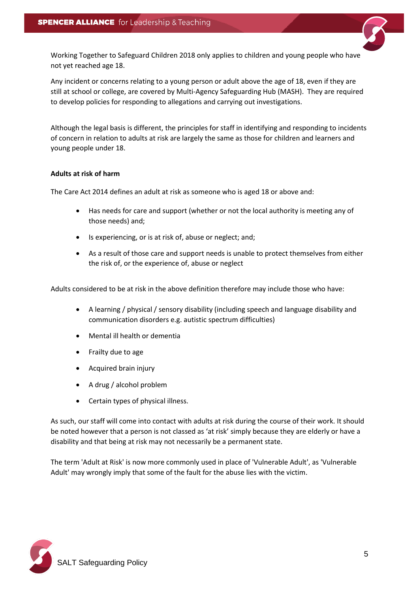

Any incident or concerns relating to a young person or adult above the age of 18, even if they are still at school or college, are covered by Multi-Agency Safeguarding Hub (MASH). They are required to develop policies for responding to allegations and carrying out investigations.

Although the legal basis is different, the principles for staff in identifying and responding to incidents of concern in relation to adults at risk are largely the same as those for children and learners and young people under 18.

#### **Adults at risk of harm**

The Care Act 2014 defines an adult at risk as someone who is aged 18 or above and:

- Has needs for care and support (whether or not the local authority is meeting any of those needs) and;
- Is experiencing, or is at risk of, abuse or neglect; and;
- As a result of those care and support needs is unable to protect themselves from either the risk of, or the experience of, abuse or neglect

Adults considered to be at risk in the above definition therefore may include those who have:

- A learning / physical / sensory disability (including speech and language disability and communication disorders e.g. autistic spectrum difficulties)
- Mental ill health or dementia
- Frailty due to age
- Acquired brain injury
- A drug / alcohol problem
- Certain types of physical illness.

As such, our staff will come into contact with adults at risk during the course of their work. It should be noted however that a person is not classed as 'at risk' simply because they are elderly or have a disability and that being at risk may not necessarily be a permanent state.

The term 'Adult at Risk' is now more commonly used in place of 'Vulnerable Adult', as 'Vulnerable Adult' may wrongly imply that some of the fault for the abuse lies with the victim.

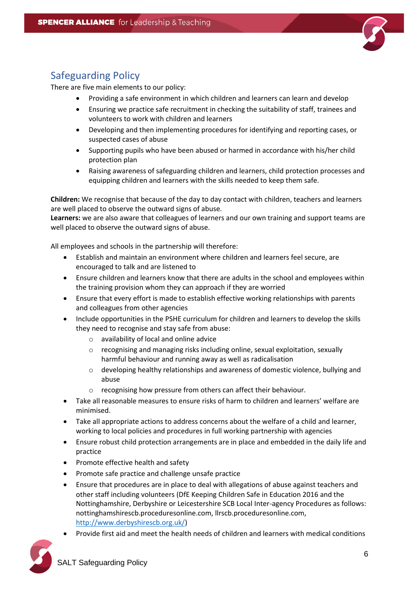

# <span id="page-5-0"></span>Safeguarding Policy

There are five main elements to our policy:

- Providing a safe environment in which children and learners can learn and develop
- Ensuring we practice safe recruitment in checking the suitability of staff, trainees and volunteers to work with children and learners
- Developing and then implementing procedures for identifying and reporting cases, or suspected cases of abuse
- Supporting pupils who have been abused or harmed in accordance with his/her child protection plan
- Raising awareness of safeguarding children and learners, child protection processes and equipping children and learners with the skills needed to keep them safe.

**Children:** We recognise that because of the day to day contact with children, teachers and learners are well placed to observe the outward signs of abuse.

**Learners:** we are also aware that colleagues of learners and our own training and support teams are well placed to observe the outward signs of abuse.

All employees and schools in the partnership will therefore:

- Establish and maintain an environment where children and learners feel secure, are encouraged to talk and are listened to
- Ensure children and learners know that there are adults in the school and employees within the training provision whom they can approach if they are worried
- Ensure that every effort is made to establish effective working relationships with parents and colleagues from other agencies
- Include opportunities in the PSHE curriculum for children and learners to develop the skills they need to recognise and stay safe from abuse:
	- o availability of local and online advice
	- o recognising and managing risks including online, sexual exploitation, sexually harmful behaviour and running away as well as radicalisation
	- $\circ$  developing healthy relationships and awareness of domestic violence, bullying and abuse
	- o recognising how pressure from others can affect their behaviour.
- Take all reasonable measures to ensure risks of harm to children and learners' welfare are minimised.
- Take all appropriate actions to address concerns about the welfare of a child and learner, working to local policies and procedures in full working partnership with agencies
- Ensure robust child protection arrangements are in place and embedded in the daily life and practice
- Promote effective health and safety
- Promote safe practice and challenge unsafe practice
- Ensure that procedures are in place to deal with allegations of abuse against teachers and other staff including volunteers (DfE Keeping Children Safe in Education 2016 and the Nottinghamshire, Derbyshire or Leicestershire SCB Local Inter-agency Procedures as follows: nottinghamshirescb.proceduresonline.com, llrscb.proceduresonline.com, [http://www.derbyshirescb.org.uk/\)](http://www.derbyshirescb.org.uk/)
- Provide first aid and meet the health needs of children and learners with medical conditions

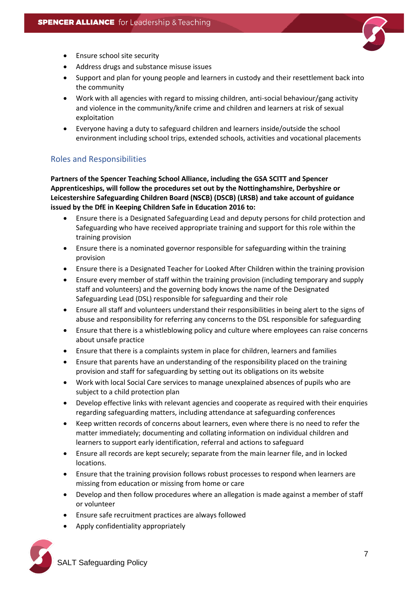

- Ensure school site security
- Address drugs and substance misuse issues
- Support and plan for young people and learners in custody and their resettlement back into the community
- Work with all agencies with regard to missing children, anti-social behaviour/gang activity and violence in the community/knife crime and children and learners at risk of sexual exploitation
- Everyone having a duty to safeguard children and learners inside/outside the school environment including school trips, extended schools, activities and vocational placements

### <span id="page-6-0"></span>Roles and Responsibilities

**Partners of the Spencer Teaching School Alliance, including the GSA SCITT and Spencer Apprenticeships, will follow the procedures set out by the Nottinghamshire, Derbyshire or Leicestershire Safeguarding Children Board (NSCB) (DSCB) (LRSB) and take account of guidance issued by the DfE in Keeping Children Safe in Education 2016 to:**

- Ensure there is a Designated Safeguarding Lead and deputy persons for child protection and Safeguarding who have received appropriate training and support for this role within the training provision
- Ensure there is a nominated governor responsible for safeguarding within the training provision
- Ensure there is a Designated Teacher for Looked After Children within the training provision
- Ensure every member of staff within the training provision (including temporary and supply staff and volunteers) and the governing body knows the name of the Designated Safeguarding Lead (DSL) responsible for safeguarding and their role
- Ensure all staff and volunteers understand their responsibilities in being alert to the signs of abuse and responsibility for referring any concerns to the DSL responsible for safeguarding
- Ensure that there is a whistleblowing policy and culture where employees can raise concerns about unsafe practice
- Ensure that there is a complaints system in place for children, learners and families
- Ensure that parents have an understanding of the responsibility placed on the training provision and staff for safeguarding by setting out its obligations on its website
- Work with local Social Care services to manage unexplained absences of pupils who are subject to a child protection plan
- Develop effective links with relevant agencies and cooperate as required with their enquiries regarding safeguarding matters, including attendance at safeguarding conferences
- Keep written records of concerns about learners, even where there is no need to refer the matter immediately; documenting and collating information on individual children and learners to support early identification, referral and actions to safeguard
- Ensure all records are kept securely; separate from the main learner file, and in locked locations.
- Ensure that the training provision follows robust processes to respond when learners are missing from education or missing from home or care
- Develop and then follow procedures where an allegation is made against a member of staff or volunteer
- Ensure safe recruitment practices are always followed
- Apply confidentiality appropriately

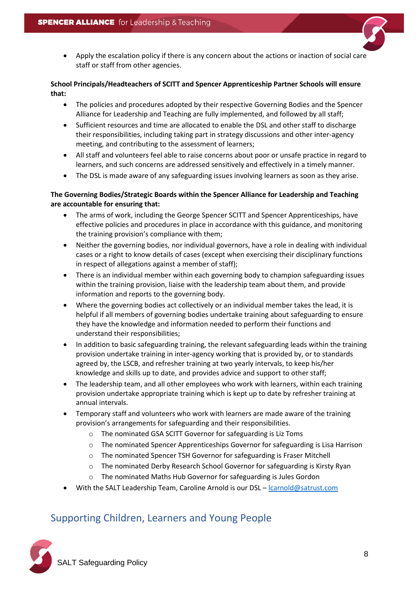• Apply the escalation policy if there is any concern about the actions or inaction of social care staff or staff from other agencies.

#### **School Principals/Headteachers of SCITT and Spencer Apprenticeship Partner Schools will ensure that:**

- The policies and procedures adopted by their respective Governing Bodies and the Spencer Alliance for Leadership and Teaching are fully implemented, and followed by all staff;
- Sufficient resources and time are allocated to enable the DSL and other staff to discharge their responsibilities, including taking part in strategy discussions and other inter-agency meeting, and contributing to the assessment of learners;
- All staff and volunteers feel able to raise concerns about poor or unsafe practice in regard to learners, and such concerns are addressed sensitively and effectively in a timely manner.
- The DSL is made aware of any safeguarding issues involving learners as soon as they arise.

### **The Governing Bodies/Strategic Boards within the Spencer Alliance for Leadership and Teaching are accountable for ensuring that:**

- The arms of work, including the George Spencer SCITT and Spencer Apprenticeships, have effective policies and procedures in place in accordance with this guidance, and monitoring the training provision's compliance with them;
- Neither the governing bodies, nor individual governors, have a role in dealing with individual cases or a right to know details of cases (except when exercising their disciplinary functions in respect of allegations against a member of staff);
- There is an individual member within each governing body to champion safeguarding issues within the training provision, liaise with the leadership team about them, and provide information and reports to the governing body.
- Where the governing bodies act collectively or an individual member takes the lead, it is helpful if all members of governing bodies undertake training about safeguarding to ensure they have the knowledge and information needed to perform their functions and understand their responsibilities;
- In addition to basic safeguarding training, the relevant safeguarding leads within the training provision undertake training in inter-agency working that is provided by, or to standards agreed by, the LSCB, and refresher training at two yearly intervals, to keep his/her knowledge and skills up to date, and provides advice and support to other staff;
- The leadership team, and all other employees who work with learners, within each training provision undertake appropriate training which is kept up to date by refresher training at annual intervals.
- Temporary staff and volunteers who work with learners are made aware of the training provision's arrangements for safeguarding and their responsibilities.
	- o The nominated GSA SCITT Governor for safeguarding is Liz Toms
	- $\circ$  The nominated Spencer Apprenticeships Governor for safeguarding is Lisa Harrison
	- o The nominated Spencer TSH Governor for safeguarding is Fraser Mitchell
	- o The nominated Derby Research School Governor for safeguarding is Kirsty Ryan
	- o The nominated Maths Hub Governor for safeguarding is Jules Gordon
- With the SALT Leadership Team, Caroline Arnold is our DSL [lcarnold@satrust.com](mailto:lcarnold@satrust.com)

# <span id="page-7-0"></span>Supporting Children, Learners and Young People

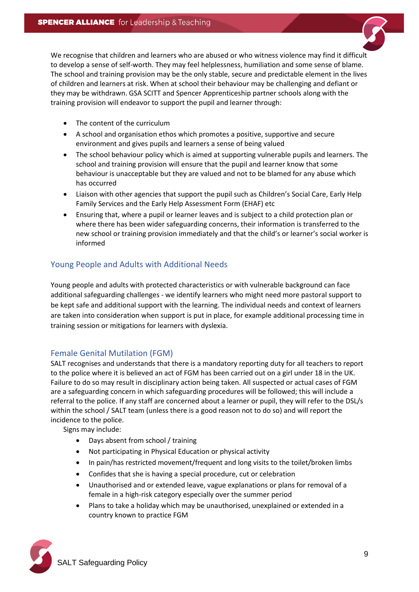We recognise that children and learners who are abused or who witness violence may find it difficult to develop a sense of self-worth. They may feel helplessness, humiliation and some sense of blame. The school and training provision may be the only stable, secure and predictable element in the lives of children and learners at risk. When at school their behaviour may be challenging and defiant or they may be withdrawn. GSA SCITT and Spencer Apprenticeship partner schools along with the training provision will endeavor to support the pupil and learner through:

- The content of the curriculum
- A school and organisation ethos which promotes a positive, supportive and secure environment and gives pupils and learners a sense of being valued
- The school behaviour policy which is aimed at supporting vulnerable pupils and learners. The school and training provision will ensure that the pupil and learner know that some behaviour is unacceptable but they are valued and not to be blamed for any abuse which has occurred
- Liaison with other agencies that support the pupil such as Children's Social Care, Early Help Family Services and the Early Help Assessment Form (EHAF) etc
- Ensuring that, where a pupil or learner leaves and is subject to a child protection plan or where there has been wider safeguarding concerns, their information is transferred to the new school or training provision immediately and that the child's or learner's social worker is informed

### <span id="page-8-0"></span>Young People and Adults with Additional Needs

Young people and adults with protected characteristics or with vulnerable background can face additional safeguarding challenges - we identify learners who might need more pastoral support to be kept safe and additional support with the learning. The individual needs and context of learners are taken into consideration when support is put in place, for example additional processing time in training session or mitigations for learners with dyslexia.

### <span id="page-8-1"></span>Female Genital Mutilation (FGM)

SALT recognises and understands that there is a mandatory reporting duty for all teachers to report to the police where it is believed an act of FGM has been carried out on a girl under 18 in the UK. Failure to do so may result in disciplinary action being taken. All suspected or actual cases of FGM are a safeguarding concern in which safeguarding procedures will be followed; this will include a referral to the police. If any staff are concerned about a learner or pupil, they will refer to the DSL/s within the school / SALT team (unless there is a good reason not to do so) and will report the incidence to the police.

Signs may include:

- Days absent from school / training
- Not participating in Physical Education or physical activity
- In pain/has restricted movement/frequent and long visits to the toilet/broken limbs
- Confides that she is having a special procedure, cut or celebration
- Unauthorised and or extended leave, vague explanations or plans for removal of a female in a high-risk category especially over the summer period
- Plans to take a holiday which may be unauthorised, unexplained or extended in a country known to practice FGM

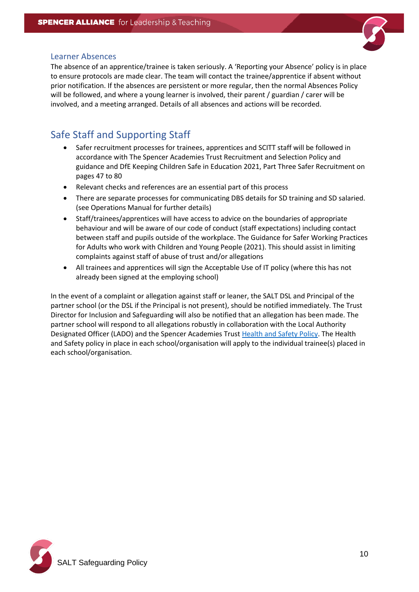<span id="page-9-0"></span>

The absence of an apprentice/trainee is taken seriously. A 'Reporting your Absence' policy is in place to ensure protocols are made clear. The team will contact the trainee/apprentice if absent without prior notification. If the absences are persistent or more regular, then the normal Absences Policy will be followed, and where a young learner is involved, their parent / guardian / carer will be involved, and a meeting arranged. Details of all absences and actions will be recorded.

# <span id="page-9-1"></span>Safe Staff and Supporting Staff

- Safer recruitment processes for trainees, apprentices and SCITT staff will be followed in accordance with The Spencer Academies Trust Recruitment and Selection Policy and guidance and DfE Keeping Children Safe in Education 2021, Part Three Safer Recruitment on pages 47 to 80
- Relevant checks and references are an essential part of this process
- There are separate processes for communicating DBS details for SD training and SD salaried. (see Operations Manual for further details)
- Staff/trainees/apprentices will have access to advice on the boundaries of appropriate behaviour and will be aware of our code of conduct (staff expectations) including contact between staff and pupils outside of the workplace. The Guidance for Safer Working Practices for Adults who work with Children and Young People (2021). This should assist in limiting complaints against staff of abuse of trust and/or allegations
- All trainees and apprentices will sign the Acceptable Use of IT policy (where this has not already been signed at the employing school)

In the event of a complaint or allegation against staff or leaner, the SALT DSL and Principal of the partner school (or the DSL if the Principal is not present), should be notified immediately. The Trust Director for Inclusion and Safeguarding will also be notified that an allegation has been made. The partner school will respond to all allegations robustly in collaboration with the Local Authority Designated Officer (LADO) and the Spencer Academies Trus[t Health and Safety Policy.](http://satrust.com/policies/) The Health and Safety policy in place in each school/organisation will apply to the individual trainee(s) placed in each school/organisation.

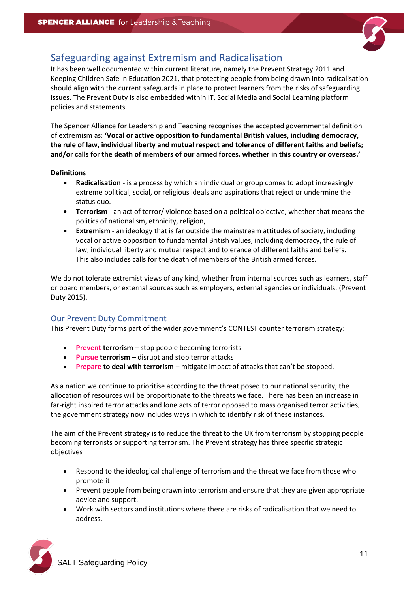

# <span id="page-10-0"></span>Safeguarding against Extremism and Radicalisation

It has been well documented within current literature, namely the Prevent Strategy 2011 and Keeping Children Safe in Education 2021, that protecting people from being drawn into radicalisation should align with the current safeguards in place to protect learners from the risks of safeguarding issues. The Prevent Duty is also embedded within IT, Social Media and Social Learning platform policies and statements.

The Spencer Alliance for Leadership and Teaching recognises the accepted governmental definition of extremism as: **'Vocal or active opposition to fundamental British values, including democracy, the rule of law, individual liberty and mutual respect and tolerance of different faiths and beliefs; and/or calls for the death of members of our armed forces, whether in this country or overseas.'**

#### **Definitions**

- **Radicalisation** is a process by which an individual or group comes to adopt increasingly extreme political, social, or religious ideals and aspirations that reject or undermine the status quo.
- **Terrorism** an act of terror/ violence based on a political objective, whether that means the politics of nationalism, ethnicity, religion,
- **Extremism** an ideology that is far outside the mainstream attitudes of society, including vocal or active opposition to fundamental British values, including democracy, the rule of law, individual liberty and mutual respect and tolerance of different faiths and beliefs. This also includes calls for the death of members of the British armed forces.

We do not tolerate extremist views of any kind, whether from internal sources such as learners, staff or board members, or external sources such as employers, external agencies or individuals. (Prevent Duty 2015).

### <span id="page-10-1"></span>Our Prevent Duty Commitment

This Prevent Duty forms part of the wider government's CONTEST counter terrorism strategy:

- **Prevent terrorism** stop people becoming terrorists
- **Pursue terrorism** disrupt and stop terror attacks
- **Prepare to deal with terrorism** mitigate impact of attacks that can't be stopped.

As a nation we continue to prioritise according to the threat posed to our national security; the allocation of resources will be proportionate to the threats we face. There has been an increase in far-right inspired terror attacks and lone acts of terror opposed to mass organised terror activities, the government strategy now includes ways in which to identify risk of these instances.

The aim of the Prevent strategy is to reduce the threat to the UK from terrorism by stopping people becoming terrorists or supporting terrorism. The Prevent strategy has three specific strategic objectives

- Respond to the ideological challenge of terrorism and the threat we face from those who promote it
- Prevent people from being drawn into terrorism and ensure that they are given appropriate advice and support.
- Work with sectors and institutions where there are risks of radicalisation that we need to address.

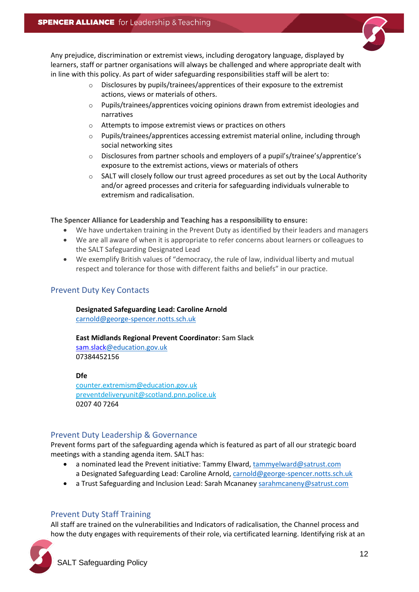

Any prejudice, discrimination or extremist views, including derogatory language, displayed by learners, staff or partner organisations will always be challenged and where appropriate dealt with in line with this policy. As part of wider safeguarding responsibilities staff will be alert to:

- o Disclosures by pupils/trainees/apprentices of their exposure to the extremist actions, views or materials of others.
- $\circ$  Pupils/trainees/apprentices voicing opinions drawn from extremist ideologies and narratives
- o Attempts to impose extremist views or practices on others
- o Pupils/trainees/apprentices accessing extremist material online, including through social networking sites
- o Disclosures from partner schools and employers of a pupil's/trainee's/apprentice's exposure to the extremist actions, views or materials of others
- $\circ$  SALT will closely follow our trust agreed procedures as set out by the Local Authority and/or agreed processes and criteria for safeguarding individuals vulnerable to extremism and radicalisation.

**The Spencer Alliance for Leadership and Teaching has a responsibility to ensure:**

- We have undertaken training in the Prevent Duty as identified by their leaders and managers
- We are all aware of when it is appropriate to refer concerns about learners or colleagues to the SALT Safeguarding Designated Lead
- We exemplify British values of "democracy, the rule of law, individual liberty and mutual respect and tolerance for those with different faiths and beliefs" in our practice.

### <span id="page-11-0"></span>Prevent Duty Key Contacts

**Designated Safeguarding Lead: Caroline Arnold** 

[carnold@george-spencer.notts.sch.uk](mailto:carnold@george-spencer.notts.sch.uk)

**East Midlands Regional Prevent Coordinator: Sam Slack**  [sam.slack@education.gov.uk](mailto:sam.slack@education.gov.uk) 07384452156

**Dfe**

[counter.extremism@education.gov.uk](mailto:counter.extremism@education.gov.uk) [preventdeliveryunit@scotland.pnn.police.uk](mailto:preventdeliveryunit@scotland.pnn.police.uk) 0207 40 7264

### <span id="page-11-1"></span>Prevent Duty Leadership & Governance

Prevent forms part of the safeguarding agenda which is featured as part of all our strategic board meetings with a standing agenda item. SALT has:

- a nominated lead the Prevent initiative: Tammy Elward[, tammyelward@satrust.com](mailto:tammyelward@satrust.com)
- a Designated Safeguarding Lead: Caroline Arnold, [carnold@george-spencer.notts.sch.uk](mailto:carnold@george-spencer.notts.sch.uk)
- a Trust Safeguarding and Inclusion Lead: Sarah Mcananey [sarahmcaneny@satrust.com](mailto:sarahmcaneny@satrust.com)

### <span id="page-11-2"></span>Prevent Duty Staff Training

All staff are trained on the vulnerabilities and Indicators of radicalisation, the Channel process and how the duty engages with requirements of their role, via certificated learning. Identifying risk at an

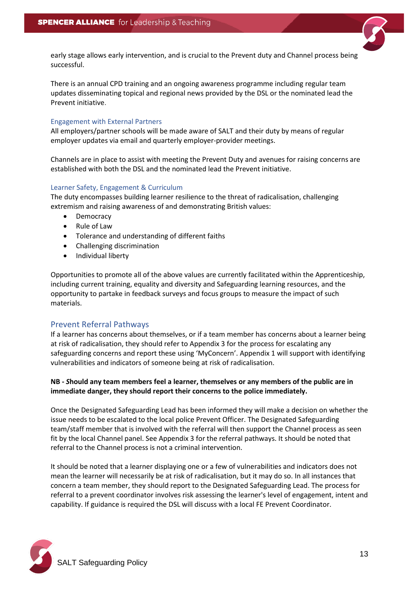

early stage allows early intervention, and is crucial to the Prevent duty and Channel process being successful.

There is an annual CPD training and an ongoing awareness programme including regular team updates disseminating topical and regional news provided by the DSL or the nominated lead the Prevent initiative.

#### Engagement with External Partners

All employers/partner schools will be made aware of SALT and their duty by means of regular employer updates via email and quarterly employer-provider meetings.

Channels are in place to assist with meeting the Prevent Duty and avenues for raising concerns are established with both the DSL and the nominated lead the Prevent initiative.

#### Learner Safety, Engagement & Curriculum

The duty encompasses building learner resilience to the threat of radicalisation, challenging extremism and raising awareness of and demonstrating British values:

- **Democracy**
- Rule of Law
- Tolerance and understanding of different faiths
- Challenging discrimination
- Individual liberty

Opportunities to promote all of the above values are currently facilitated within the Apprenticeship, including current training, equality and diversity and Safeguarding learning resources, and the opportunity to partake in feedback surveys and focus groups to measure the impact of such materials.

### <span id="page-12-0"></span>Prevent Referral Pathways

If a learner has concerns about themselves, or if a team member has concerns about a learner being at risk of radicalisation, they should refer to Appendix 3 for the process for escalating any safeguarding concerns and report these using 'MyConcern'. Appendix 1 will support with identifying vulnerabilities and indicators of someone being at risk of radicalisation.

### **NB -** *S***hould any team members feel a learner, themselves or any members of the public are in immediate danger, they should report their concerns to the police immediately.**

Once the Designated Safeguarding Lead has been informed they will make a decision on whether the issue needs to be escalated to the local police Prevent Officer. The Designated Safeguarding team/staff member that is involved with the referral will then support the Channel process as seen fit by the local Channel panel. See Appendix 3 for the referral pathways. It should be noted that referral to the Channel process is not a criminal intervention.

It should be noted that a learner displaying one or a few of vulnerabilities and indicators does not mean the learner will necessarily be at risk of radicalisation, but it may do so. In all instances that concern a team member, they should report to the Designated Safeguarding Lead. The process for referral to a prevent coordinator involves risk assessing the learner's level of engagement, intent and capability. If guidance is required the DSL will discuss with a local FE Prevent Coordinator.

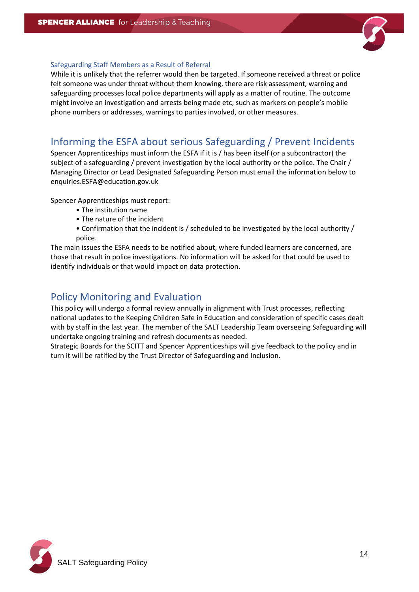

#### Safeguarding Staff Members as a Result of Referral

While it is unlikely that the referrer would then be targeted. If someone received a threat or police felt someone was under threat without them knowing, there are risk assessment, warning and safeguarding processes local police departments will apply as a matter of routine. The outcome might involve an investigation and arrests being made etc, such as markers on people's mobile phone numbers or addresses, warnings to parties involved, or other measures.

# <span id="page-13-0"></span>Informing the ESFA about serious Safeguarding / Prevent Incidents

Spencer Apprenticeships must inform the ESFA if it is / has been itself (or a subcontractor) the subject of a safeguarding / prevent investigation by the local authority or the police. The Chair / Managing Director or Lead Designated Safeguarding Person must email the information below to enquiries.ESFA@education.gov.uk

Spencer Apprenticeships must report:

- The institution name
- The nature of the incident
- Confirmation that the incident is / scheduled to be investigated by the local authority / police.

The main issues the ESFA needs to be notified about, where funded learners are concerned, are those that result in police investigations. No information will be asked for that could be used to identify individuals or that would impact on data protection.

### <span id="page-13-1"></span>Policy Monitoring and Evaluation

This policy will undergo a formal review annually in alignment with Trust processes, reflecting national updates to the Keeping Children Safe in Education and consideration of specific cases dealt with by staff in the last year. The member of the SALT Leadership Team overseeing Safeguarding will undertake ongoing training and refresh documents as needed.

Strategic Boards for the SCITT and Spencer Apprenticeships will give feedback to the policy and in turn it will be ratified by the Trust Director of Safeguarding and Inclusion.

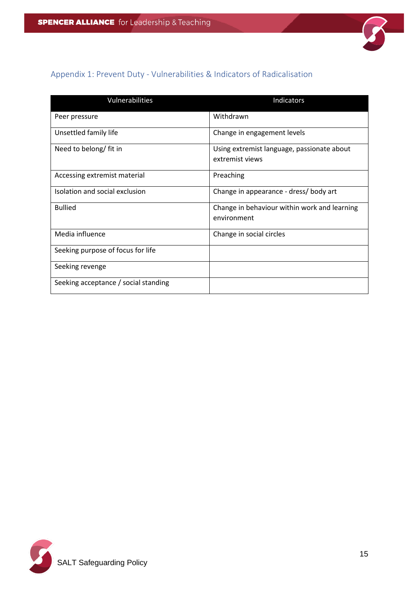

# <span id="page-14-0"></span>Appendix 1: Prevent Duty - Vulnerabilities & Indicators of Radicalisation

| Vulnerabilities                      | Indicators                                                    |
|--------------------------------------|---------------------------------------------------------------|
| Peer pressure                        | Withdrawn                                                     |
| Unsettled family life                | Change in engagement levels                                   |
| Need to belong/ fit in               | Using extremist language, passionate about<br>extremist views |
| Accessing extremist material         | Preaching                                                     |
| Isolation and social exclusion       | Change in appearance - dress/ body art                        |
| <b>Bullied</b>                       | Change in behaviour within work and learning<br>environment   |
| Media influence                      | Change in social circles                                      |
| Seeking purpose of focus for life    |                                                               |
| Seeking revenge                      |                                                               |
| Seeking acceptance / social standing |                                                               |

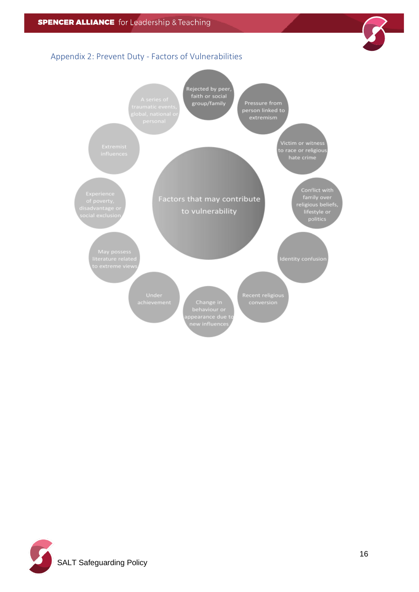<span id="page-15-0"></span>